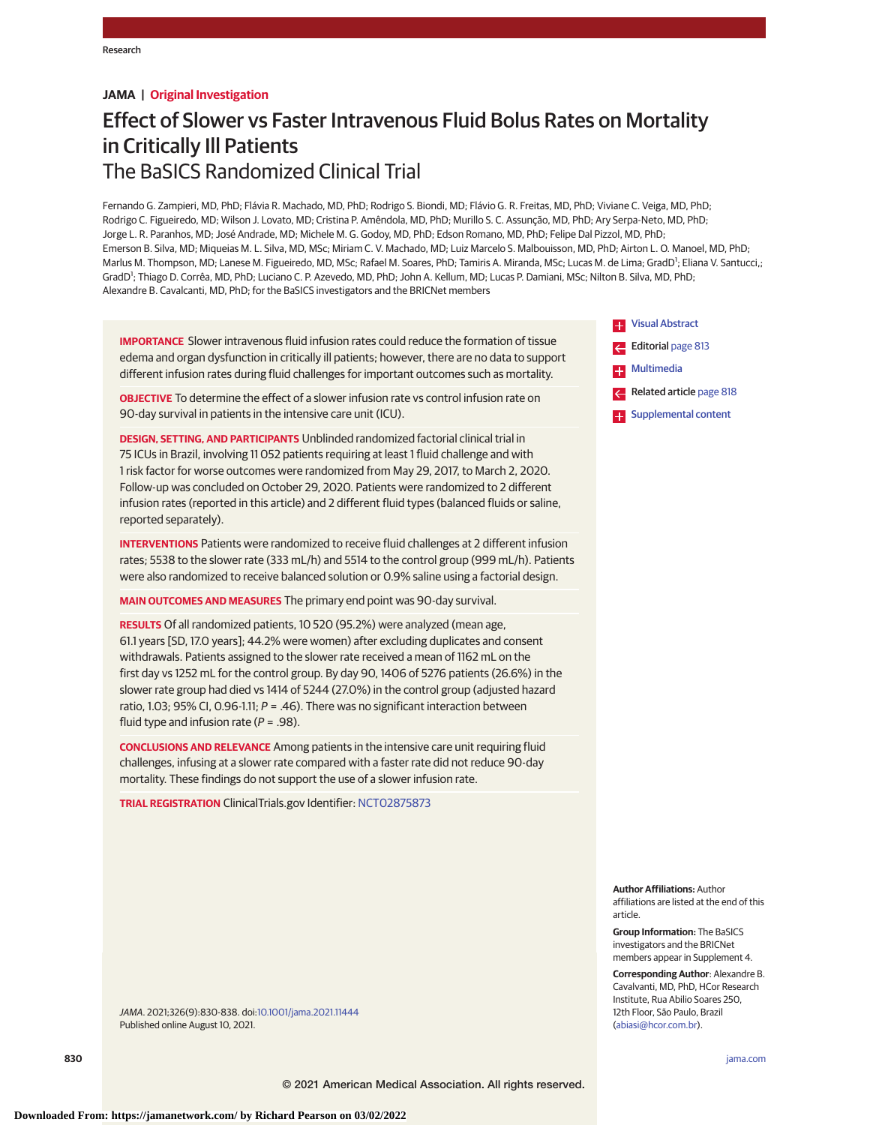## **JAMA | Original Investigation**

# Effect of Slower vs Faster Intravenous Fluid Bolus Rates on Mortality in Critically Ill Patients The BaSICS Randomized Clinical Trial

Fernando G. Zampieri, MD, PhD; Flávia R. Machado, MD, PhD; Rodrigo S. Biondi, MD; Flávio G. R. Freitas, MD, PhD; Viviane C. Veiga, MD, PhD; Rodrigo C. Figueiredo, MD; Wilson J. Lovato, MD; Cristina P. Amêndola, MD, PhD; Murillo S. C. Assunção, MD, PhD; Ary Serpa-Neto, MD, PhD; Jorge L. R. Paranhos, MD; José Andrade, MD; Michele M. G. Godoy, MD, PhD; Edson Romano, MD, PhD; Felipe Dal Pizzol, MD, PhD; Emerson B. Silva, MD; Miqueias M. L. Silva, MD, MSc; Miriam C. V. Machado, MD; Luiz Marcelo S. Malbouisson, MD, PhD; Airton L. O. Manoel, MD, PhD; Marlus M. Thompson, MD; Lanese M. Figueiredo, MD, MSc; Rafael M. Soares, PhD; Tamiris A. Miranda, MSc; Lucas M. de Lima; GradD<sup>1</sup>; Eliana V. Santucci,; GradD<sup>1</sup>; Thiago D. Corrêa, MD, PhD; Luciano C. P. Azevedo, MD, PhD; John A. Kellum, MD; Lucas P. Damiani, MSc; Nilton B. Silva, MD, PhD; Alexandre B. Cavalcanti, MD, PhD; for the BaSICS investigators and the BRICNet members

**IMPORTANCE** Slower intravenous fluid infusion rates could reduce the formation of tissue edema and organ dysfunction in critically ill patients; however, there are no data to support different infusion rates during fluid challenges for important outcomes such as mortality.

**OBJECTIVE** To determine the effect of a slower infusion rate vs control infusion rate on 90-day survival in patients in the intensive care unit (ICU).

**DESIGN, SETTING, AND PARTICIPANTS** Unblinded randomized factorial clinical trial in 75 ICUs in Brazil, involving 11 052 patients requiring at least 1 fluid challenge and with 1 risk factor for worse outcomes were randomized from May 29, 2017, to March 2, 2020. Follow-up was concluded on October 29, 2020. Patients were randomized to 2 different infusion rates (reported in this article) and 2 different fluid types (balanced fluids or saline, reported separately).

**INTERVENTIONS** Patients were randomized to receive fluid challenges at 2 different infusion rates; 5538 to the slower rate (333 mL/h) and 5514 to the control group (999 mL/h). Patients were also randomized to receive balanced solution or 0.9% saline using a factorial design.

**MAIN OUTCOMES AND MEASURES** The primary end point was 90-day survival.

**RESULTS** Of all randomized patients, 10 520 (95.2%) were analyzed (mean age, 61.1 years [SD, 17.0 years]; 44.2% were women) after excluding duplicates and consent withdrawals. Patients assigned to the slower rate received a mean of 1162 mL on the first day vs 1252 mL for the control group. By day 90, 1406 of 5276 patients (26.6%) in the slower rate group had died vs 1414 of 5244 (27.0%) in the control group (adjusted hazard ratio, 1.03; 95% CI, 0.96-1.11;  $P = .46$ ). There was no significant interaction between fluid type and infusion rate ( $P = .98$ ).

**CONCLUSIONS AND RELEVANCE** Among patients in the intensive care unit requiring fluid challenges, infusing at a slower rate compared with a faster rate did not reduce 90-day mortality. These findings do not support the use of a slower infusion rate.

**TRIAL REGISTRATION** ClinicalTrials.gov Identifier: [NCT02875873](https://clinicaltrials.gov/ct2/show/NCT02875873)

JAMA. 2021;326(9):830-838. doi[:10.1001/jama.2021.11444](https://jamanetwork.com/journals/jama/fullarticle/10.1001/jama.2021.11444?utm_campaign=articlePDF%26utm_medium=articlePDFlink%26utm_source=articlePDF%26utm_content=jama.2021.11444) Published online August 10, 2021.

**Ex** [Visual Abstract](https://jamanetwork.com/journals/jama/fullarticle/10.1001/jama.2021.11444?utm_campaign=articlePDF%26utm_medium=articlePDFlink%26utm_source=articlePDF%26utm_content=jama.2021.11444) Editorial [page 813](https://jamanetwork.com/journals/jama/fullarticle/10.1001/jama.2021.11119?utm_campaign=articlePDF%26utm_medium=articlePDFlink%26utm_source=articlePDF%26utm_content=jama.2021.11444) **Example [Multimedia](https://jamanetwork.com/journals/jama/fullarticle/10.1001/jama.2021.11444?utm_campaign=articlePDF%26utm_medium=articlePDFlink%26utm_source=articlePDF%26utm_content=jama.2021.11444)** Related article [page 818](https://jamanetwork.com/journals/jama/fullarticle/10.1001/jama.2021.11684?utm_campaign=articlePDF%26utm_medium=articlePDFlink%26utm_source=articlePDF%26utm_content=jama.2021.11444) **Examplemental content** 

**Author Affiliations:** Author affiliations are listed at the end of this article.

**Group Information:** The BaSICS investigators and the BRICNet members appear in Supplement 4.

**Corresponding Author**: Alexandre B. Cavalvanti, MD, PhD, HCor Research Institute, Rua Abilio Soares 250, 12th Floor, São Paulo, Brazil [\(abiasi@hcor.com.br\)](mailto:abiasi@hcor.com.br).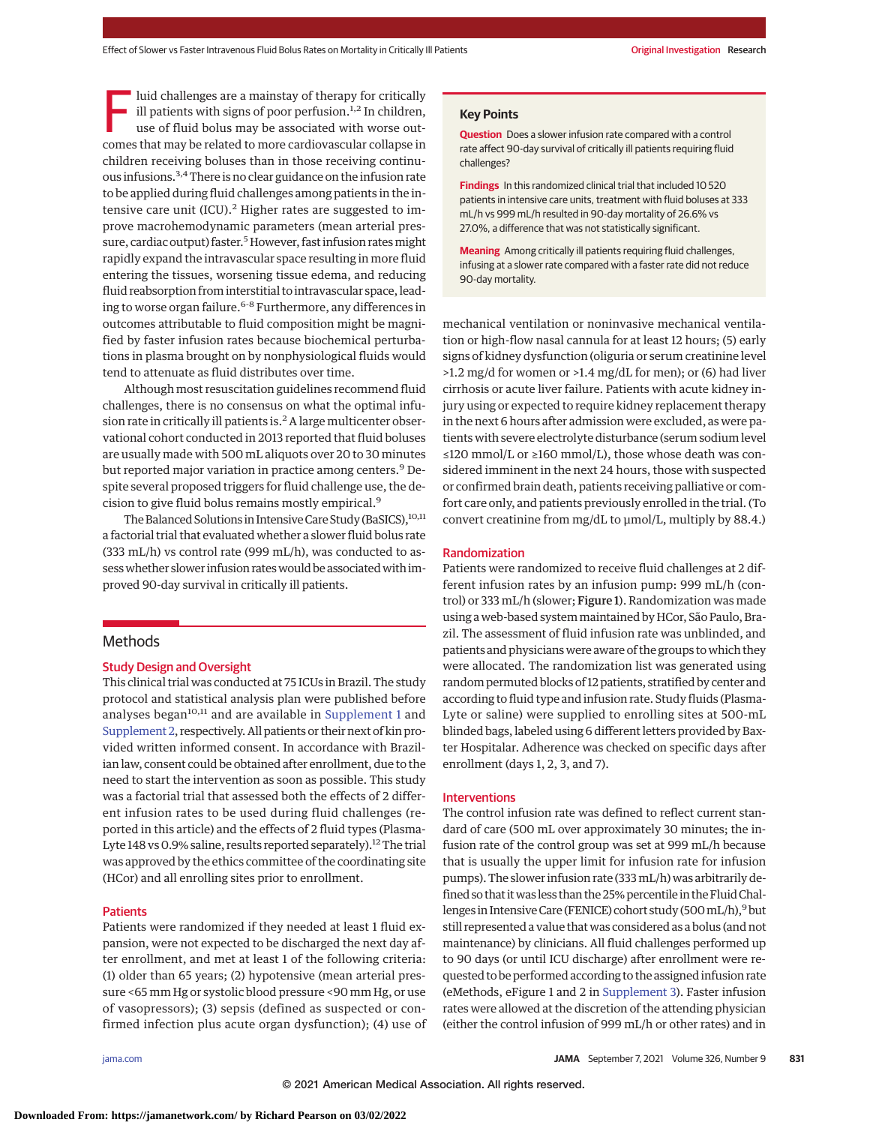Iuid challenges are a mainstay of therapy for critically ill patients with signs of poor perfusion.<sup>1,2</sup> In children, use of fluid bolus may be associated with worse outcomes that may be related to more cardiovascular collapse in children receiving boluses than in those receiving continuous infusions.3,4There is no clear guidance on the infusion rate to be applied during fluid challenges among patients in the intensive care unit (ICU). $<sup>2</sup>$  Higher rates are suggested to im-</sup> prove macrohemodynamic parameters (mean arterial pressure, cardiac output) faster.<sup>5</sup> However, fast infusion rates might rapidly expand the intravascular space resulting in more fluid entering the tissues, worsening tissue edema, and reducing fluid reabsorption from interstitial to intravascular space, leading to worse organ failure.<sup>6-8</sup> Furthermore, any differences in outcomes attributable to fluid composition might be magnified by faster infusion rates because biochemical perturbations in plasma brought on by nonphysiological fluids would tend to attenuate as fluid distributes over time.

Although most resuscitation guidelines recommend fluid challenges, there is no consensus on what the optimal infusion rate in critically ill patients is.<sup>2</sup> A large multicenter observational cohort conducted in 2013 reported that fluid boluses are usually made with 500 mL aliquots over 20 to 30 minutes but reported major variation in practice among centers.<sup>9</sup> Despite several proposed triggers for fluid challenge use, the decision to give fluid bolus remains mostly empirical.<sup>9</sup>

The Balanced Solutions in Intensive Care Study (BaSICS), 10,11 a factorial trial that evaluated whether a slower fluid bolus rate (333 mL/h) vs control rate (999 mL/h), was conducted to assess whether slower infusion rates would be associated with improved 90-day survival in critically ill patients.

# **Methods**

#### Study Design and Oversight

This clinical trial was conducted at 75 ICUs in Brazil. The study protocol and statistical analysis plan were published before analyses began $10,11$  and are available in [Supplement 1](https://jamanetwork.com/journals/jama/fullarticle/10.1001/jama.2021.11444?utm_campaign=articlePDF%26utm_medium=articlePDFlink%26utm_source=articlePDF%26utm_content=jama.2021.11444) and [Supplement 2,](https://jamanetwork.com/journals/jama/fullarticle/10.1001/jama.2021.11444?utm_campaign=articlePDF%26utm_medium=articlePDFlink%26utm_source=articlePDF%26utm_content=jama.2021.11444) respectively. All patients or their next of kin provided written informed consent. In accordance with Brazilian law, consent could be obtained after enrollment, due to the need to start the intervention as soon as possible. This study was a factorial trial that assessed both the effects of 2 different infusion rates to be used during fluid challenges (reported in this article) and the effects of 2 fluid types (Plasma-Lyte 148 vs 0.9% saline, results reported separately).<sup>12</sup> The trial was approved by the ethics committee of the coordinating site (HCor) and all enrolling sites prior to enrollment.

## **Patients**

Patients were randomized if they needed at least 1 fluid expansion, were not expected to be discharged the next day after enrollment, and met at least 1 of the following criteria: (1) older than 65 years; (2) hypotensive (mean arterial pressure <65 mm Hg or systolic blood pressure <90 mm Hg, or use of vasopressors); (3) sepsis (defined as suspected or confirmed infection plus acute organ dysfunction); (4) use of

## **Key Points**

**Question** Does a slower infusion rate compared with a control rate affect 90-day survival of critically ill patients requiring fluid challenges?

**Findings** In this randomized clinical trial that included 10 520 patients in intensive care units, treatment with fluid boluses at 333 mL/h vs 999 mL/h resulted in 90-day mortality of 26.6% vs 27.0%, a difference that was not statistically significant.

**Meaning** Among critically ill patients requiring fluid challenges, infusing at a slower rate compared with a faster rate did not reduce 90-day mortality.

mechanical ventilation or noninvasive mechanical ventilation or high-flow nasal cannula for at least 12 hours; (5) early signs of kidney dysfunction (oliguria or serum creatinine level >1.2 mg/d for women or >1.4 mg/dL for men); or (6) had liver cirrhosis or acute liver failure. Patients with acute kidney injury using or expected to require kidney replacement therapy in the next 6 hours after admission were excluded, as were patients with severe electrolyte disturbance (serum sodium level ≤120 mmol/L or ≥160 mmol/L), those whose death was considered imminent in the next 24 hours, those with suspected or confirmed brain death, patients receiving palliative or comfort care only, and patients previously enrolled in the trial. (To convert creatinine from mg/dL to μmol/L, multiply by 88.4.)

## Randomization

Patients were randomized to receive fluid challenges at 2 different infusion rates by an infusion pump: 999 mL/h (control) or 333 mL/h (slower; Figure 1). Randomization was made using a web-based systemmaintained by HCor, São Paulo, Brazil. The assessment of fluid infusion rate was unblinded, and patients and physicians were aware of the groups to which they were allocated. The randomization list was generated using random permuted blocks of 12 patients, stratified by center and according to fluid type and infusion rate. Study fluids (Plasma-Lyte or saline) were supplied to enrolling sites at 500-mL blinded bags, labeled using 6 different letters provided by Baxter Hospitalar. Adherence was checked on specific days after enrollment (days 1, 2, 3, and 7).

#### Interventions

The control infusion rate was defined to reflect current standard of care (500 mL over approximately 30 minutes; the infusion rate of the control group was set at 999 mL/h because that is usually the upper limit for infusion rate for infusion pumps). The slower infusion rate (333mL/h) was arbitrarily defined so that itwas less than the 25% percentile in the FluidChallenges in Intensive Care (FENICE) cohort study (500 mL/h),<sup>9</sup> but still represented a value that was considered as a bolus (and not maintenance) by clinicians. All fluid challenges performed up to 90 days (or until ICU discharge) after enrollment were requested to be performed according to the assigned infusion rate (eMethods, eFigure 1 and 2 in [Supplement 3\)](https://jamanetwork.com/journals/jama/fullarticle/10.1001/jama.2021.11444?utm_campaign=articlePDF%26utm_medium=articlePDFlink%26utm_source=articlePDF%26utm_content=jama.2021.11444). Faster infusion rates were allowed at the discretion of the attending physician (either the control infusion of 999 mL/h or other rates) and in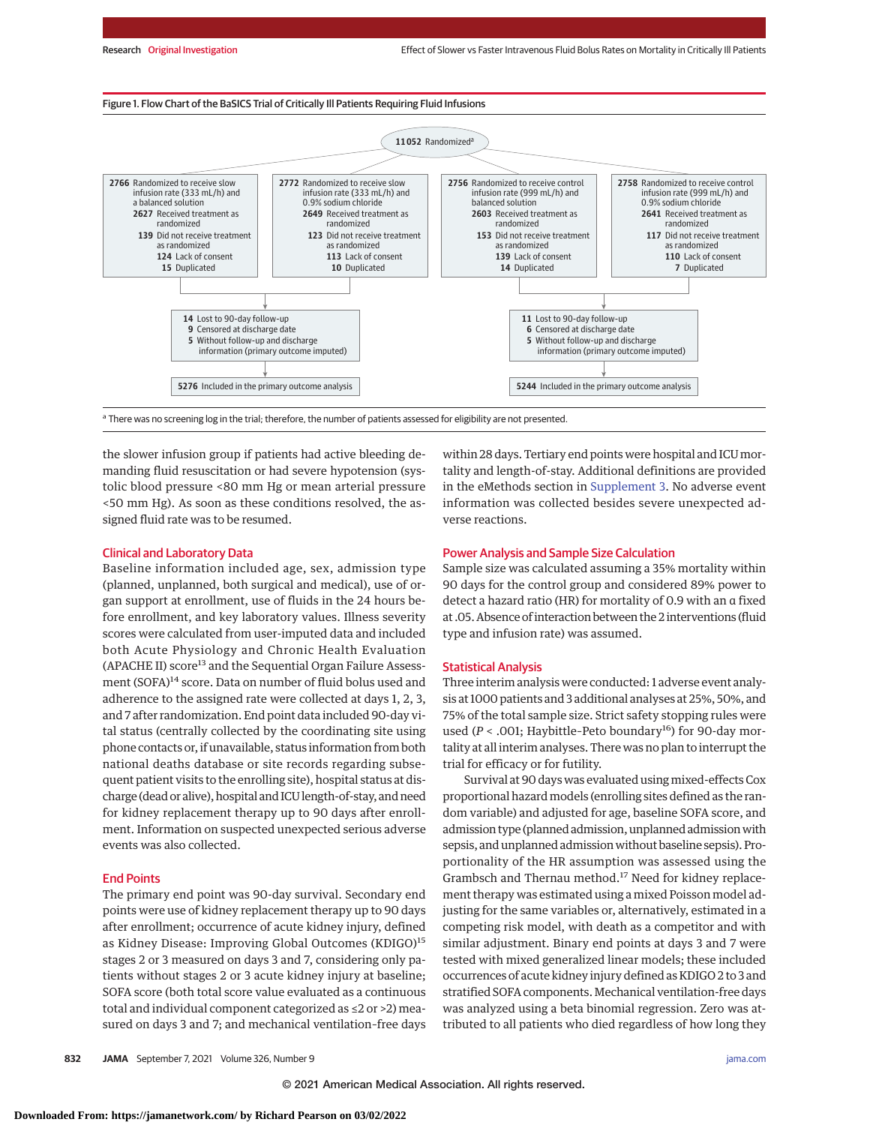Figure 1. Flow Chart of the BaSICS Trial of Critically Ill Patients Requiring Fluid Infusions



the slower infusion group if patients had active bleeding demanding fluid resuscitation or had severe hypotension (systolic blood pressure <80 mm Hg or mean arterial pressure <50 mm Hg). As soon as these conditions resolved, the assigned fluid rate was to be resumed.

#### Clinical and Laboratory Data

Baseline information included age, sex, admission type (planned, unplanned, both surgical and medical), use of organ support at enrollment, use of fluids in the 24 hours before enrollment, and key laboratory values. Illness severity scores were calculated from user-imputed data and included both Acute Physiology and Chronic Health Evaluation  $(APACHE II)$  score<sup>13</sup> and the Sequential Organ Failure Assessment (SOFA)<sup>14</sup> score. Data on number of fluid bolus used and adherence to the assigned rate were collected at days 1, 2, 3, and 7 after randomization. End point data included 90-day vital status (centrally collected by the coordinating site using phone contacts or, if unavailable, status information from both national deaths database or site records regarding subsequent patient visits to the enrolling site), hospital status at discharge (dead or alive), hospital and ICU length-of-stay, and need for kidney replacement therapy up to 90 days after enrollment. Information on suspected unexpected serious adverse events was also collected.

## End Points

The primary end point was 90-day survival. Secondary end points were use of kidney replacement therapy up to 90 days after enrollment; occurrence of acute kidney injury, defined as Kidney Disease: Improving Global Outcomes (KDIGO)<sup>15</sup> stages 2 or 3 measured on days 3 and 7, considering only patients without stages 2 or 3 acute kidney injury at baseline; SOFA score (both total score value evaluated as a continuous total and individual component categorized as ≤2 or >2) measured on days 3 and 7; and mechanical ventilation–free days

within 28 days. Tertiary end points were hospital and ICUmortality and length-of-stay. Additional definitions are provided in the eMethods section in [Supplement 3.](https://jamanetwork.com/journals/jama/fullarticle/10.1001/jama.2021.11444?utm_campaign=articlePDF%26utm_medium=articlePDFlink%26utm_source=articlePDF%26utm_content=jama.2021.11444) No adverse event information was collected besides severe unexpected adverse reactions.

## Power Analysis and Sample Size Calculation

Sample size was calculated assuming a 35% mortality within 90 days for the control group and considered 89% power to detect a hazard ratio (HR) for mortality of 0.9 with an α fixed at .05. Absence of interaction between the 2 interventions (fluid type and infusion rate) was assumed.

#### Statistical Analysis

Three interim analysis were conducted: 1 adverse event analysis at 1000 patients and 3 additional analyses at 25%, 50%, and 75% of the total sample size. Strict safety stopping rules were used (*P* < .001; Haybittle-Peto boundary<sup>16</sup>) for 90-day mortality at all interim analyses. There was no plan to interrupt the trial for efficacy or for futility.

Survival at 90 days was evaluated usingmixed-effects Cox proportional hazard models (enrolling sites defined as the random variable) and adjusted for age, baseline SOFA score, and admission type (planned admission, unplanned admission with sepsis, and unplanned admission without baseline sepsis). Proportionality of the HR assumption was assessed using the Grambsch and Thernau method.<sup>17</sup> Need for kidney replacement therapy was estimated using a mixed Poisson model adjusting for the same variables or, alternatively, estimated in a competing risk model, with death as a competitor and with similar adjustment. Binary end points at days 3 and 7 were tested with mixed generalized linear models; these included occurrences of acute kidney injury defined as KDIGO 2 to 3 and stratified SOFA components. Mechanical ventilation-free days was analyzed using a beta binomial regression. Zero was attributed to all patients who died regardless of how long they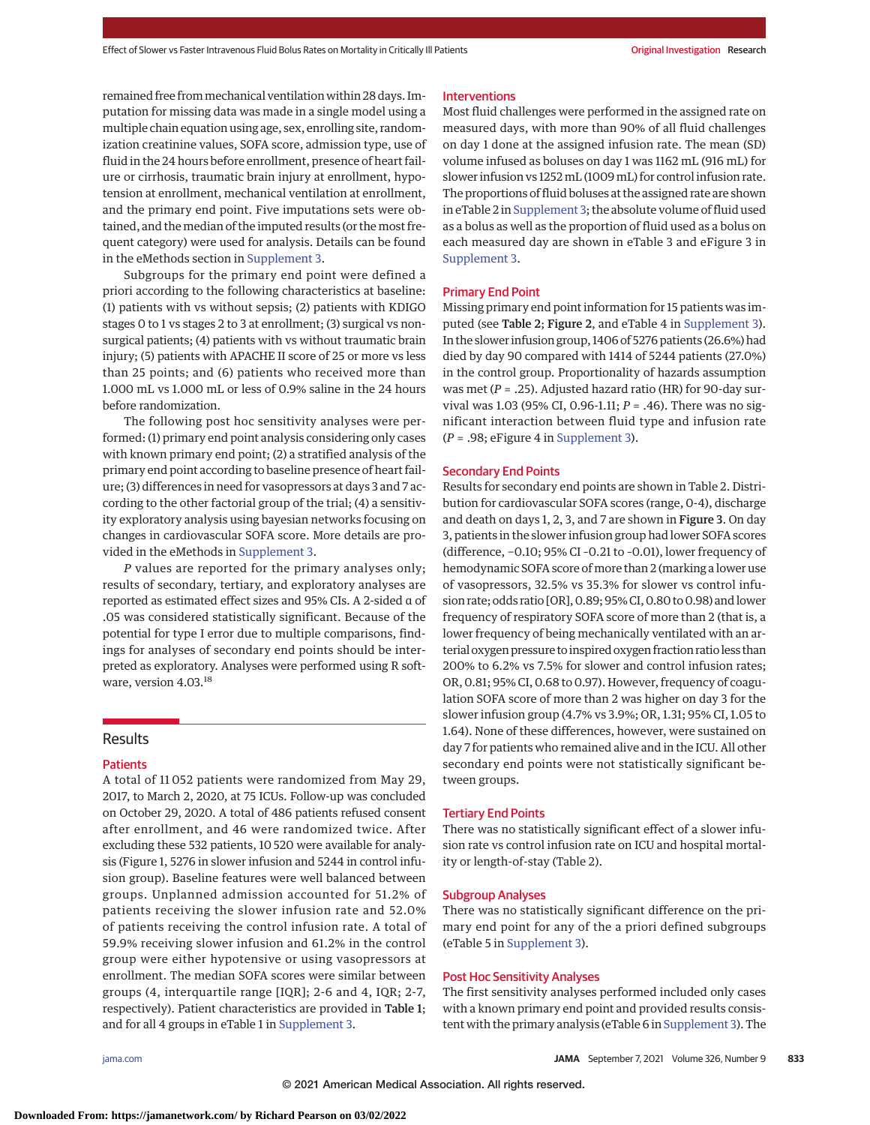remained free frommechanical ventilation within 28 days. Imputation for missing data was made in a single model using a multiple chain equation using age, sex, enrolling site, randomization creatinine values, SOFA score, admission type, use of fluid in the 24 hours before enrollment, presence of heart failure or cirrhosis, traumatic brain injury at enrollment, hypotension at enrollment, mechanical ventilation at enrollment, and the primary end point. Five imputations sets were obtained, and the median of the imputed results (or the most frequent category) were used for analysis. Details can be found in the eMethods section in [Supplement 3.](https://jamanetwork.com/journals/jama/fullarticle/10.1001/jama.2021.11444?utm_campaign=articlePDF%26utm_medium=articlePDFlink%26utm_source=articlePDF%26utm_content=jama.2021.11444)

Subgroups for the primary end point were defined a priori according to the following characteristics at baseline: (1) patients with vs without sepsis; (2) patients with KDIGO stages 0 to 1 vs stages 2 to 3 at enrollment; (3) surgical vs nonsurgical patients; (4) patients with vs without traumatic brain injury; (5) patients with APACHE II score of 25 or more vs less than 25 points; and (6) patients who received more than 1.000 mL vs 1.000 mL or less of 0.9% saline in the 24 hours before randomization.

The following post hoc sensitivity analyses were performed: (1) primary end point analysis considering only cases with known primary end point; (2) a stratified analysis of the primary end point according to baseline presence of heart failure; (3) differences in need for vasopressors at days 3 and 7 according to the other factorial group of the trial; (4) a sensitivity exploratory analysis using bayesian networks focusing on changes in cardiovascular SOFA score. More details are provided in the eMethods in [Supplement 3.](https://jamanetwork.com/journals/jama/fullarticle/10.1001/jama.2021.11444?utm_campaign=articlePDF%26utm_medium=articlePDFlink%26utm_source=articlePDF%26utm_content=jama.2021.11444)

*P* values are reported for the primary analyses only; results of secondary, tertiary, and exploratory analyses are reported as estimated effect sizes and 95% CIs. A 2-sided α of .05 was considered statistically significant. Because of the potential for type I error due to multiple comparisons, findings for analyses of secondary end points should be interpreted as exploratory. Analyses were performed using R software, version 4.03.<sup>18</sup>

## Results

## **Patients**

A total of 11 052 patients were randomized from May 29, 2017, to March 2, 2020, at 75 ICUs. Follow-up was concluded on October 29, 2020. A total of 486 patients refused consent after enrollment, and 46 were randomized twice. After excluding these 532 patients, 10 520 were available for analysis (Figure 1, 5276 in slower infusion and 5244 in control infusion group). Baseline features were well balanced between groups. Unplanned admission accounted for 51.2% of patients receiving the slower infusion rate and 52.0% of patients receiving the control infusion rate. A total of 59.9% receiving slower infusion and 61.2% in the control group were either hypotensive or using vasopressors at enrollment. The median SOFA scores were similar between groups (4, interquartile range [IQR]; 2-6 and 4, IQR; 2-7, respectively). Patient characteristics are provided in Table 1; and for all 4 groups in eTable 1 in [Supplement 3.](https://jamanetwork.com/journals/jama/fullarticle/10.1001/jama.2021.11444?utm_campaign=articlePDF%26utm_medium=articlePDFlink%26utm_source=articlePDF%26utm_content=jama.2021.11444)

#### Interventions

Most fluid challenges were performed in the assigned rate on measured days, with more than 90% of all fluid challenges on day 1 done at the assigned infusion rate. The mean (SD) volume infused as boluses on day 1 was 1162 mL (916 mL) for slower infusion vs 1252mL (1009mL) for control infusion rate. The proportions of fluid boluses at the assigned rate are shown in eTable 2 in [Supplement 3;](https://jamanetwork.com/journals/jama/fullarticle/10.1001/jama.2021.11444?utm_campaign=articlePDF%26utm_medium=articlePDFlink%26utm_source=articlePDF%26utm_content=jama.2021.11444) the absolute volume of fluid used as a bolus as well as the proportion of fluid used as a bolus on each measured day are shown in eTable 3 and eFigure 3 in [Supplement 3.](https://jamanetwork.com/journals/jama/fullarticle/10.1001/jama.2021.11444?utm_campaign=articlePDF%26utm_medium=articlePDFlink%26utm_source=articlePDF%26utm_content=jama.2021.11444)

#### Primary End Point

Missing primary end point information for 15 patients was imputed (see Table 2; Figure 2, and eTable 4 in [Supplement 3\)](https://jamanetwork.com/journals/jama/fullarticle/10.1001/jama.2021.11444?utm_campaign=articlePDF%26utm_medium=articlePDFlink%26utm_source=articlePDF%26utm_content=jama.2021.11444). In the slower infusion group, 1406 of 5276 patients (26.6%) had died by day 90 compared with 1414 of 5244 patients (27.0%) in the control group. Proportionality of hazards assumption was met (*P* = .25). Adjusted hazard ratio (HR) for 90-day survival was 1.03 (95% CI, 0.96-1.11; *P* = .46). There was no significant interaction between fluid type and infusion rate (*P* = .98; eFigure 4 in [Supplement 3\)](https://jamanetwork.com/journals/jama/fullarticle/10.1001/jama.2021.11444?utm_campaign=articlePDF%26utm_medium=articlePDFlink%26utm_source=articlePDF%26utm_content=jama.2021.11444).

#### Secondary End Points

Results for secondary end points are shown in Table 2. Distribution for cardiovascular SOFA scores (range, 0-4), discharge and death on days 1, 2, 3, and 7 are shown in Figure 3. On day 3, patients in the slower infusion group had lower SOFA scores (difference, −0.10; 95% CI –0.21 to –0.01), lower frequency of hemodynamic SOFA score of more than 2 (marking a lower use of vasopressors, 32.5% vs 35.3% for slower vs control infusion rate; odds ratio [OR], 0.89; 95% CI, 0.80 to 0.98) and lower frequency of respiratory SOFA score of more than 2 (that is, a lower frequency of being mechanically ventilated with an arterial oxygen pressure to inspired oxygen fraction ratio less than 200% to 6.2% vs 7.5% for slower and control infusion rates; OR, 0.81; 95% CI, 0.68 to 0.97). However, frequency of coagulation SOFA score of more than 2 was higher on day 3 for the slower infusion group (4.7% vs 3.9%; OR, 1.31; 95% CI, 1.05 to 1.64). None of these differences, however, were sustained on day 7 for patients who remained alive and in the ICU. All other secondary end points were not statistically significant between groups.

## Tertiary End Points

There was no statistically significant effect of a slower infusion rate vs control infusion rate on ICU and hospital mortality or length-of-stay (Table 2).

#### Subgroup Analyses

There was no statistically significant difference on the primary end point for any of the a priori defined subgroups (eTable 5 in [Supplement 3\)](https://jamanetwork.com/journals/jama/fullarticle/10.1001/jama.2021.11444?utm_campaign=articlePDF%26utm_medium=articlePDFlink%26utm_source=articlePDF%26utm_content=jama.2021.11444).

## Post Hoc Sensitivity Analyses

The first sensitivity analyses performed included only cases with a known primary end point and provided results consistent with the primary analysis (eTable 6 in [Supplement 3\)](https://jamanetwork.com/journals/jama/fullarticle/10.1001/jama.2021.11444?utm_campaign=articlePDF%26utm_medium=articlePDFlink%26utm_source=articlePDF%26utm_content=jama.2021.11444). The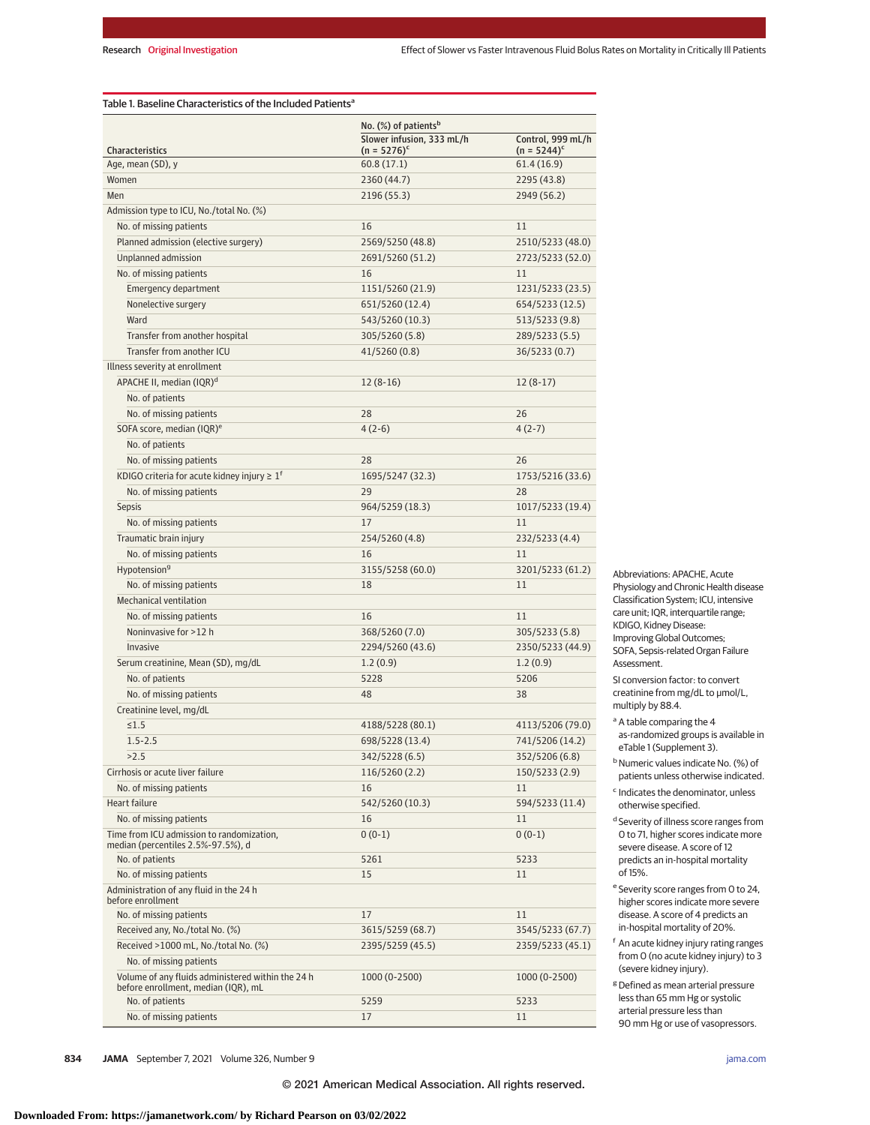| <b>Characteristics</b>                                                                   | No. (%) of patients <sup>b</sup>            |                                     |  |
|------------------------------------------------------------------------------------------|---------------------------------------------|-------------------------------------|--|
|                                                                                          | Slower infusion, 333 mL/h<br>$(n = 5276)^c$ | Control, 999 mL/h<br>$(n = 5244)^c$ |  |
| Age, mean (SD), y                                                                        | 60.8(17.1)                                  | 61.4(16.9)                          |  |
| Women                                                                                    | 2360 (44.7)                                 | 2295 (43.8)                         |  |
| Men                                                                                      | 2196 (55.3)                                 | 2949 (56.2)                         |  |
| Admission type to ICU, No./total No. (%)                                                 |                                             |                                     |  |
| No. of missing patients                                                                  | 16                                          | 11                                  |  |
| Planned admission (elective surgery)                                                     | 2569/5250 (48.8)                            | 2510/5233 (48.0)                    |  |
| Unplanned admission                                                                      | 2691/5260 (51.2)                            | 2723/5233 (52.0)                    |  |
| No. of missing patients                                                                  | 16                                          | 11                                  |  |
| <b>Emergency department</b>                                                              | 1151/5260 (21.9)                            | 1231/5233 (23.5)                    |  |
| Nonelective surgery                                                                      | 651/5260 (12.4)                             | 654/5233 (12.5)                     |  |
| Ward                                                                                     | 543/5260 (10.3)                             | 513/5233 (9.8)                      |  |
| Transfer from another hospital                                                           | 305/5260 (5.8)                              | 289/5233 (5.5)                      |  |
| Transfer from another ICU                                                                | 41/5260 (0.8)                               | 36/5233 (0.7)                       |  |
| Illness severity at enrollment                                                           |                                             |                                     |  |
| APACHE II, median (IQR) <sup>d</sup>                                                     | $12(8-16)$                                  | $12(8-17)$                          |  |
| No. of patients                                                                          |                                             |                                     |  |
| No. of missing patients                                                                  | 28                                          | 26                                  |  |
| SOFA score, median (IQR) <sup>e</sup>                                                    | $4(2-6)$                                    | $4(2-7)$                            |  |
| No. of patients                                                                          |                                             |                                     |  |
| No. of missing patients                                                                  | 28                                          | 26                                  |  |
| KDIGO criteria for acute kidney injury $\geq 1^f$                                        | 1695/5247 (32.3)                            | 1753/5216 (33.6)                    |  |
| No. of missing patients                                                                  | 29                                          | 28                                  |  |
| <b>Sepsis</b>                                                                            | 964/5259 (18.3)                             | 1017/5233 (19.4)                    |  |
| No. of missing patients                                                                  | 17                                          | 11                                  |  |
| Traumatic brain injury                                                                   | 254/5260 (4.8)                              | 232/5233 (4.4)                      |  |
| No. of missing patients                                                                  | 16                                          | 11                                  |  |
|                                                                                          |                                             |                                     |  |
| Hypotension <sup>9</sup><br>No. of missing patients                                      | 3155/5258 (60.0)<br>18                      | 3201/5233 (61.2)<br>11              |  |
| <b>Mechanical ventilation</b>                                                            |                                             |                                     |  |
|                                                                                          | 16                                          | 11                                  |  |
| No. of missing patients                                                                  |                                             |                                     |  |
| Noninvasive for >12 h                                                                    | 368/5260 (7.0)                              | 305/5233 (5.8)                      |  |
| Invasive                                                                                 | 2294/5260 (43.6)                            | 2350/5233 (44.9)                    |  |
| Serum creatinine, Mean (SD), mg/dL                                                       | 1.2(0.9)                                    | 1.2(0.9)                            |  |
| No. of patients                                                                          | 5228                                        | 5206                                |  |
| No. of missing patients                                                                  | 48                                          | 38                                  |  |
| Creatinine level, mg/dL                                                                  |                                             |                                     |  |
| $\leq 1.5$                                                                               | 4188/5228 (80.1)                            | 4113/5206 (79.0)                    |  |
| $1.5 - 2.5$                                                                              | 698/5228 (13.4)                             | 741/5206 (14.2)                     |  |
| >2.5                                                                                     | 342/5228 (6.5)                              | 352/5206 (6.8)                      |  |
| Cirrhosis or acute liver failure                                                         | 116/5260 (2.2)                              | 150/5233 (2.9)                      |  |
| No. of missing patients                                                                  | 16                                          | 11                                  |  |
| <b>Heart failure</b>                                                                     | 542/5260 (10.3)                             | 594/5233 (11.4)                     |  |
| No. of missing patients                                                                  | 16                                          | 11                                  |  |
| Time from ICU admission to randomization,<br>median (percentiles 2.5%-97.5%), d          | $0(0-1)$                                    | $0(0-1)$                            |  |
| No. of patients                                                                          | 5261                                        | 5233                                |  |
| No. of missing patients                                                                  | 15                                          | 11                                  |  |
| Administration of any fluid in the 24 h<br>before enrollment                             |                                             |                                     |  |
| No. of missing patients                                                                  | 17                                          | 11                                  |  |
| Received any, No./total No. (%)                                                          | 3615/5259 (68.7)                            | 3545/5233 (67.7)                    |  |
| Received >1000 mL, No./total No. (%)                                                     | 2395/5259 (45.5)                            | 2359/5233 (45.1)                    |  |
| No. of missing patients                                                                  |                                             |                                     |  |
| Volume of any fluids administered within the 24 h<br>before enrollment, median (IQR), mL | 1000 (0-2500)                               | 1000 (0-2500)                       |  |
| No. of patients                                                                          | 5259                                        | 5233                                |  |
| No. of missing patients                                                                  | 17                                          | 11                                  |  |

Table 1. Baseline Characteristics of the Included Patients<sup>a</sup>

Abbreviations: APACHE, Acute Physiology and Chronic Health disease Classification System; ICU, intensive care unit; IQR, interquartile range; KDIGO, Kidney Disease: Improving Global Outcomes; SOFA, Sepsis-related Organ Failure Assessment.

SI conversion factor: to convert creatinine from mg/dL to μmol/L, multiply by 88.4.

<sup>a</sup> A table comparing the 4 as-randomized groups is available in eTable 1 (Supplement 3).

<sup>b</sup> Numeric values indicate No. (%) of patients unless otherwise indicated.

- <sup>c</sup> Indicates the denominator, unless otherwise specified.
- <sup>d</sup> Severity of illness score ranges from 0 to 71, higher scores indicate more severe disease. A score of 12 predicts an in-hospital mortality of 15%.
- <sup>e</sup> Severity score ranges from 0 to 24, higher scores indicate more severe disease. A score of 4 predicts an in-hospital mortality of 20%.

<sup>f</sup> An acute kidney injury rating ranges from 0 (no acute kidney injury) to 3 (severe kidney injury).

 $8$  Defined as mean arterial pressure less than 65 mm Hg or systolic arterial pressure less than 90 mm Hg or use of vasopressors.

**834 JAMA** September 7, 2021 Volume 326, Number 9 **(Reprinted)** [jama.com](http://www.jama.com?utm_campaign=articlePDF%26utm_medium=articlePDFlink%26utm_source=articlePDF%26utm_content=jama.2021.11444)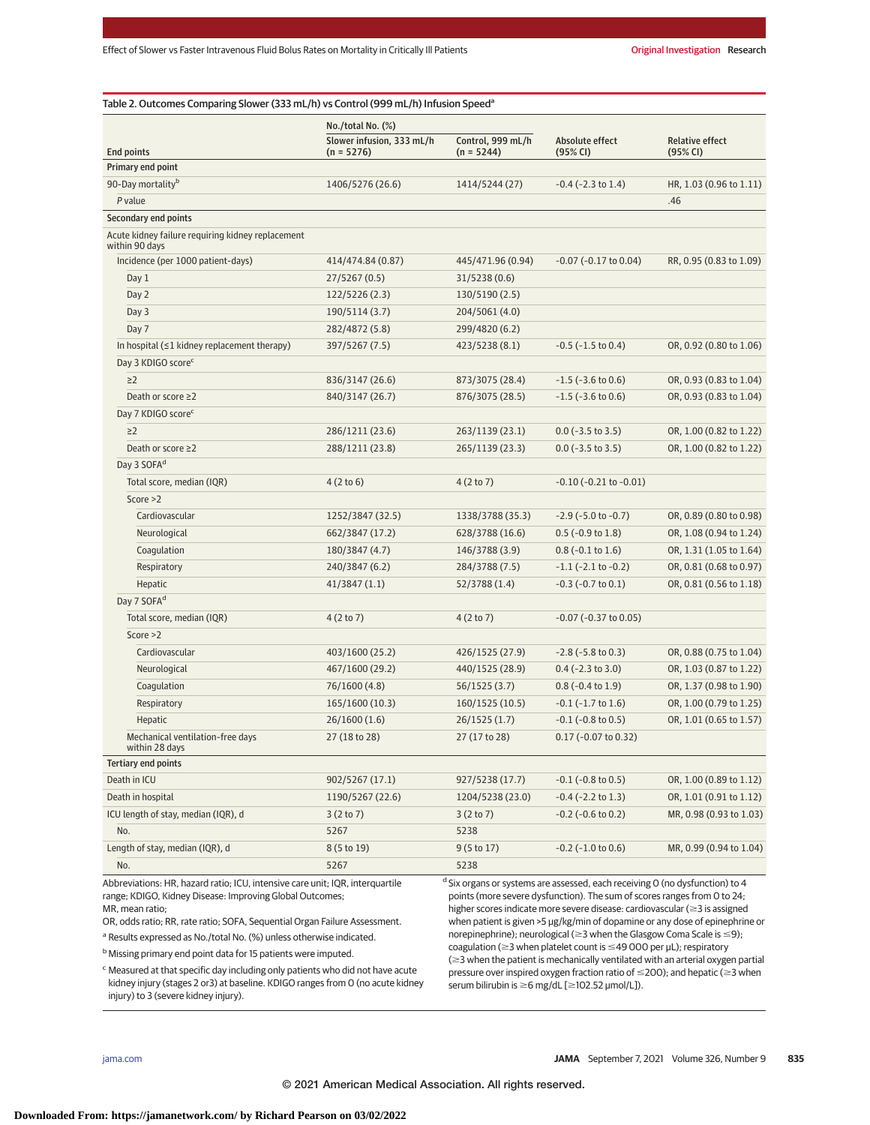| <b>End points</b>                                                   | $No./total No.$ $(\%)$                    |                                   |                                |                                    |
|---------------------------------------------------------------------|-------------------------------------------|-----------------------------------|--------------------------------|------------------------------------|
|                                                                     | Slower infusion, 333 mL/h<br>$(n = 5276)$ | Control, 999 mL/h<br>$(n = 5244)$ | Absolute effect<br>(95% CI)    | <b>Relative effect</b><br>(95% CI) |
| Primary end point                                                   |                                           |                                   |                                |                                    |
| 90-Day mortality <sup>b</sup>                                       | 1406/5276 (26.6)                          | 1414/5244 (27)                    | $-0.4$ ( $-2.3$ to 1.4)        | HR, 1.03 (0.96 to 1.11)            |
| P value                                                             |                                           |                                   |                                | .46                                |
| Secondary end points                                                |                                           |                                   |                                |                                    |
| Acute kidney failure requiring kidney replacement<br>within 90 days |                                           |                                   |                                |                                    |
| Incidence (per 1000 patient-days)                                   | 414/474.84 (0.87)                         | 445/471.96 (0.94)                 | $-0.07$ ( $-0.17$ to $0.04$ )  | RR, 0.95 (0.83 to 1.09)            |
| Day 1                                                               | 27/5267 (0.5)                             | 31/5238 (0.6)                     |                                |                                    |
| Day 2                                                               | 122/5226 (2.3)                            | 130/5190 (2.5)                    |                                |                                    |
| Day 3                                                               | 190/5114 (3.7)                            | 204/5061 (4.0)                    |                                |                                    |
| Day 7                                                               | 282/4872 (5.8)                            | 299/4820 (6.2)                    |                                |                                    |
| In hospital $(≤1$ kidney replacement therapy)                       | 397/5267 (7.5)                            | 423/5238 (8.1)                    | $-0.5$ ( $-1.5$ to 0.4)        | OR, 0.92 (0.80 to 1.06)            |
| Day 3 KDIGO scorec                                                  |                                           |                                   |                                |                                    |
| $\geq$ 2                                                            | 836/3147 (26.6)                           | 873/3075 (28.4)                   | $-1.5$ ( $-3.6$ to 0.6)        | OR, 0.93 (0.83 to 1.04)            |
| Death or score ≥2                                                   | 840/3147 (26.7)                           | 876/3075 (28.5)                   | $-1.5$ ( $-3.6$ to 0.6)        | OR, 0.93 (0.83 to 1.04)            |
| Day 7 KDIGO score <sup>c</sup>                                      |                                           |                                   |                                |                                    |
| $\geq$ 2                                                            | 286/1211 (23.6)                           | 263/1139 (23.1)                   | $0.0$ (-3.5 to 3.5)            | OR, 1.00 (0.82 to 1.22)            |
| Death or score ≥2                                                   | 288/1211 (23.8)                           | 265/1139 (23.3)                   | $0.0$ (-3.5 to 3.5)            | OR, 1.00 (0.82 to 1.22)            |
| Day 3 SOFA <sup>d</sup>                                             |                                           |                                   |                                |                                    |
| Total score, median (IQR)                                           | 4(2 to 6)                                 | 4(2 to 7)                         | $-0.10$ ( $-0.21$ to $-0.01$ ) |                                    |
| Score $>2$                                                          |                                           |                                   |                                |                                    |
| Cardiovascular                                                      | 1252/3847 (32.5)                          | 1338/3788 (35.3)                  | $-2.9$ ( $-5.0$ to $-0.7$ )    | OR, 0.89 (0.80 to 0.98)            |
| Neurological                                                        | 662/3847 (17.2)                           | 628/3788 (16.6)                   | $0.5$ (-0.9 to 1.8)            | OR, 1.08 (0.94 to 1.24)            |
| Coagulation                                                         | 180/3847 (4.7)                            | 146/3788 (3.9)                    | $0.8$ (-0.1 to 1.6)            | OR, 1.31 (1.05 to 1.64)            |
| Respiratory                                                         | 240/3847 (6.2)                            | 284/3788 (7.5)                    | $-1.1$ ( $-2.1$ to $-0.2$ )    | OR, 0.81 (0.68 to 0.97)            |
| Hepatic                                                             | 41/3847(1.1)                              | 52/3788 (1.4)                     | $-0.3$ ( $-0.7$ to $0.1$ )     | OR, 0.81 (0.56 to 1.18)            |
| Day 7 SOFA <sup>d</sup>                                             |                                           |                                   |                                |                                    |
| Total score, median (IQR)                                           | 4(2 to 7)                                 | 4(2 to 7)                         | $-0.07$ ( $-0.37$ to $0.05$ )  |                                    |
| Score $>2$                                                          |                                           |                                   |                                |                                    |
| Cardiovascular                                                      | 403/1600 (25.2)                           | 426/1525 (27.9)                   | $-2.8$ ( $-5.8$ to 0.3)        | OR, 0.88 (0.75 to 1.04)            |
| Neurological                                                        | 467/1600 (29.2)                           | 440/1525 (28.9)                   | $0.4$ (-2.3 to 3.0)            | OR, 1.03 (0.87 to 1.22)            |
| Coagulation                                                         | 76/1600 (4.8)                             | 56/1525 (3.7)                     | $0.8$ (-0.4 to 1.9)            | OR, 1.37 (0.98 to 1.90)            |
| Respiratory                                                         | 165/1600 (10.3)                           | 160/1525 (10.5)                   | $-0.1$ ( $-1.7$ to $1.6$ )     | OR, 1.00 (0.79 to 1.25)            |
| Hepatic                                                             | 26/1600(1.6)                              | 26/1525 (1.7)                     | $-0.1$ ( $-0.8$ to $0.5$ )     | OR, 1.01 (0.65 to 1.57)            |
| Mechanical ventilation-free days<br>within 28 days                  | 27 (18 to 28)                             | 27 (17 to 28)                     | 0.17 (-0.07 to 0.32)           |                                    |
| <b>Tertiary end points</b>                                          |                                           |                                   |                                |                                    |
| Death in ICU                                                        | 902/5267 (17.1)                           | 927/5238 (17.7)                   | $-0.1$ ( $-0.8$ to $0.5$ )     | OR, 1.00 (0.89 to 1.12)            |
| Death in hospital                                                   | 1190/5267 (22.6)                          | 1204/5238 (23.0)                  | $-0.4$ ( $-2.2$ to 1.3)        | OR, 1.01 (0.91 to 1.12)            |
| ICU length of stay, median (IQR), d                                 | 3(2 to 7)                                 | 3(2 to 7)                         | $-0.2$ ( $-0.6$ to $0.2$ )     | MR, 0.98 (0.93 to 1.03)            |
| No.                                                                 | 5267                                      | 5238                              |                                |                                    |
| Length of stay, median (IQR), d                                     | 8 (5 to 19)                               | 9(5 to 17)                        | $-0.2$ ( $-1.0$ to $0.6$ )     | MR, 0.99 (0.94 to 1.04)            |
| No.                                                                 | 5267                                      | 5238                              |                                |                                    |

range; KDIGO, Kidney Disease: Improving Global Outcomes; MR, mean ratio;

OR, odds ratio; RR, rate ratio; SOFA, Sequential Organ Failure Assessment.

<sup>a</sup> Results expressed as No./total No. (%) unless otherwise indicated.

b Missing primary end point data for 15 patients were imputed.

<sup>c</sup> Measured at that specific day including only patients who did not have acute kidney injury (stages 2 or3) at baseline. KDIGO ranges from 0 (no acute kidney injury) to 3 (severe kidney injury).

points (more severe dysfunction). The sum of scores ranges from 0 to 24; higher scores indicate more severe disease: cardiovascular ( $\geq$ 3 is assigned when patient is given >5 μg/kg/min of dopamine or any dose of epinephrine or norepinephrine); neurological (≥3 when the Glasgow Coma Scale is ≤9); coagulation (≥3 when platelet count is ≤49 000 per µL); respiratory  $(\geq$ 3 when the patient is mechanically ventilated with an arterial oxygen partial pressure over inspired oxygen fraction ratio of  $\leq$ 200); and hepatic ( $\geq$ 3 when serum bilirubin is ≥6 mg/dL [≥102.52 μmol/L]).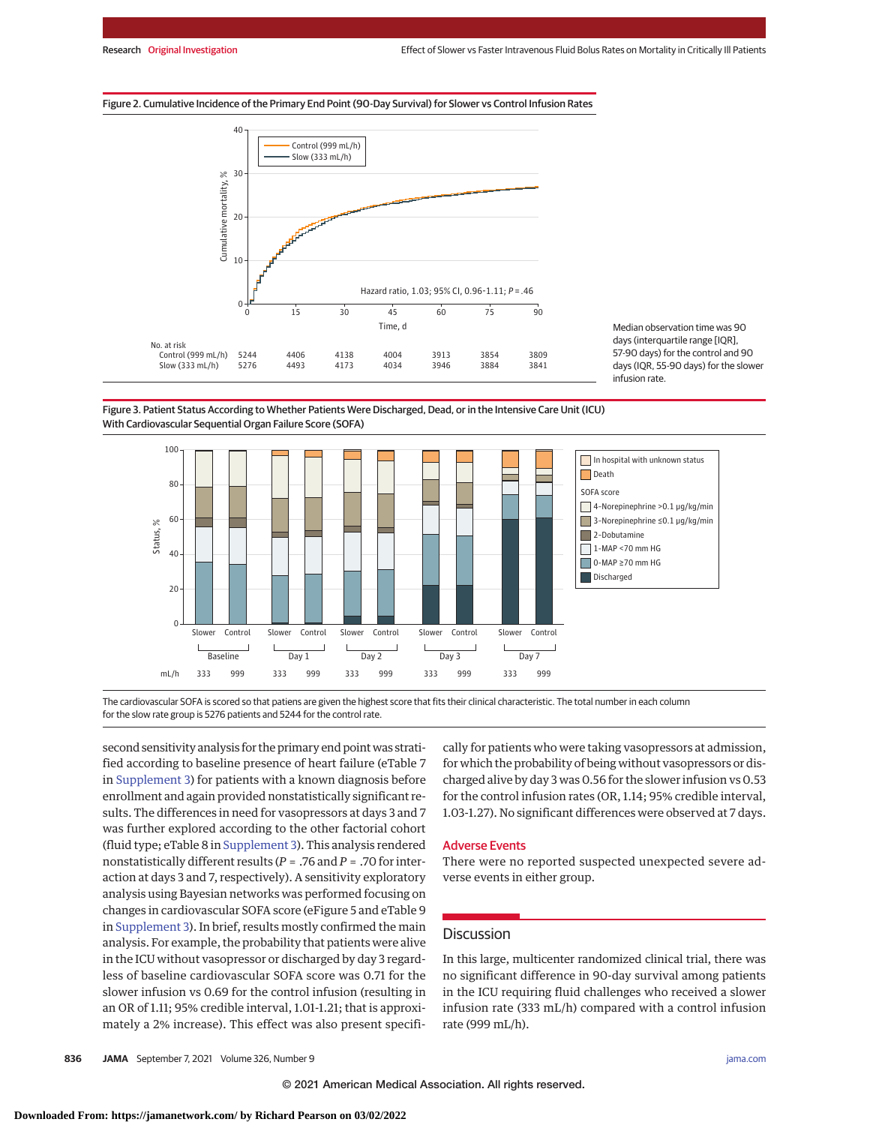#### Figure 2. Cumulative Incidence of the Primary End Point (90-Day Survival) for Slower vs Control Infusion Rates



Median observation time was 90 days (interquartile range [IQR], 57-90 days) for the control and 90 days (IQR, 55-90 days) for the slower infusion rate.

Figure 3. Patient Status According to Whether Patients Were Discharged, Dead, or in the Intensive Care Unit (ICU) With Cardiovascular Sequential Organ Failure Score (SOFA)



The cardiovascular SOFA is scored so that patiens are given the highest score that fits their clinical characteristic. The total number in each column for the slow rate group is 5276 patients and 5244 for the control rate.

second sensitivity analysis for the primary end point was stratified according to baseline presence of heart failure (eTable 7 in [Supplement 3\)](https://jamanetwork.com/journals/jama/fullarticle/10.1001/jama.2021.11444?utm_campaign=articlePDF%26utm_medium=articlePDFlink%26utm_source=articlePDF%26utm_content=jama.2021.11444) for patients with a known diagnosis before enrollment and again provided nonstatistically significant results. The differences in need for vasopressors at days 3 and 7 was further explored according to the other factorial cohort (fluid type; eTable 8 in [Supplement 3\)](https://jamanetwork.com/journals/jama/fullarticle/10.1001/jama.2021.11444?utm_campaign=articlePDF%26utm_medium=articlePDFlink%26utm_source=articlePDF%26utm_content=jama.2021.11444). This analysis rendered nonstatistically different results (*P* = .76 and *P* = .70 for interaction at days 3 and 7, respectively). A sensitivity exploratory analysis using Bayesian networks was performed focusing on changes in cardiovascular SOFA score (eFigure 5 and eTable 9 in [Supplement 3\)](https://jamanetwork.com/journals/jama/fullarticle/10.1001/jama.2021.11444?utm_campaign=articlePDF%26utm_medium=articlePDFlink%26utm_source=articlePDF%26utm_content=jama.2021.11444). In brief, results mostly confirmed the main analysis. For example, the probability that patients were alive in the ICU without vasopressor or discharged by day 3 regardless of baseline cardiovascular SOFA score was 0.71 for the slower infusion vs 0.69 for the control infusion (resulting in an OR of 1.11; 95% credible interval, 1.01-1.21; that is approximately a 2% increase). This effect was also present specifi-

cally for patients who were taking vasopressors at admission, for which the probability of being without vasopressors or discharged alive by day 3 was 0.56 for the slower infusion vs 0.53 for the control infusion rates (OR, 1.14; 95% credible interval, 1.03-1.27). No significant differences were observed at 7 days.

#### Adverse Events

There were no reported suspected unexpected severe adverse events in either group.

## **Discussion**

In this large, multicenter randomized clinical trial, there was no significant difference in 90-day survival among patients in the ICU requiring fluid challenges who received a slower infusion rate (333 mL/h) compared with a control infusion rate (999 mL/h).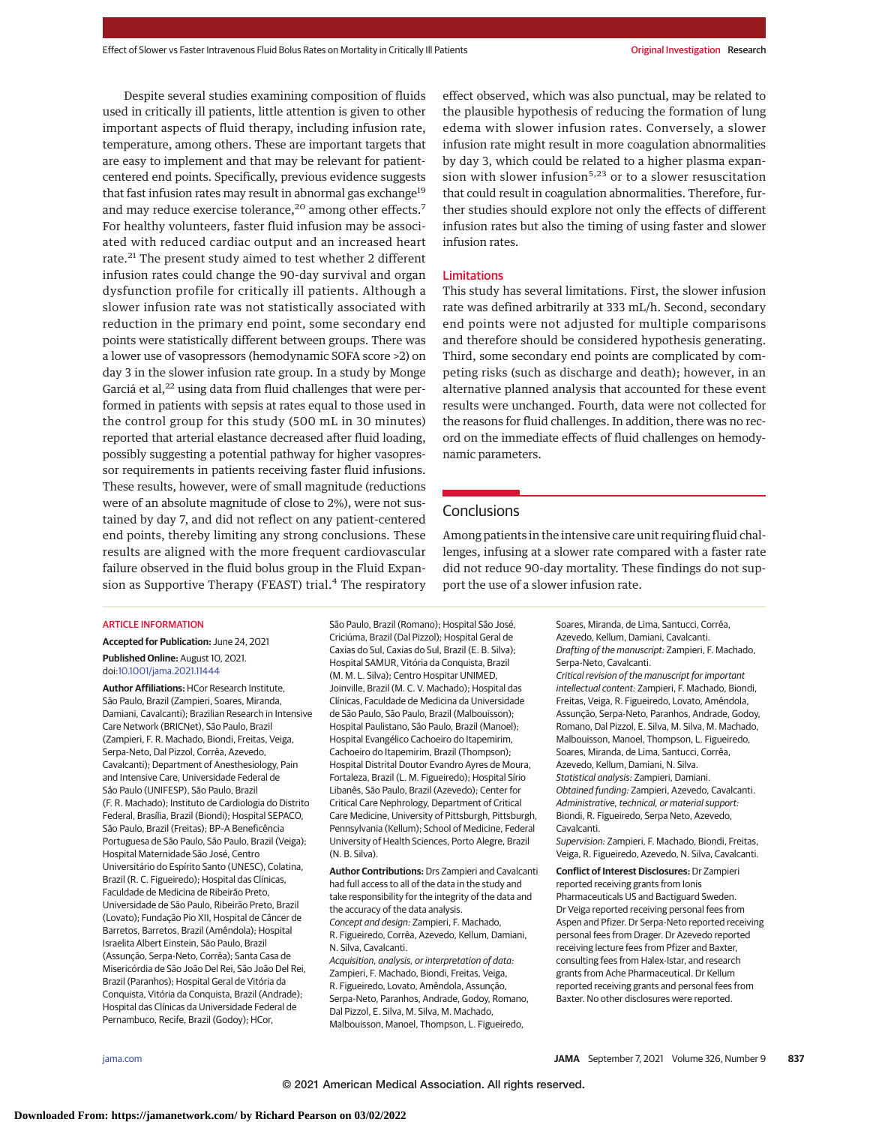Despite several studies examining composition of fluids used in critically ill patients, little attention is given to other important aspects of fluid therapy, including infusion rate, temperature, among others. These are important targets that are easy to implement and that may be relevant for patientcentered end points. Specifically, previous evidence suggests that fast infusion rates may result in abnormal gas exchange<sup>19</sup> and may reduce exercise tolerance,<sup>20</sup> among other effects.<sup>7</sup> For healthy volunteers, faster fluid infusion may be associated with reduced cardiac output and an increased heart rate.<sup>21</sup> The present study aimed to test whether 2 different infusion rates could change the 90-day survival and organ dysfunction profile for critically ill patients. Although a slower infusion rate was not statistically associated with reduction in the primary end point, some secondary end points were statistically different between groups. There was a lower use of vasopressors (hemodynamic SOFA score >2) on day 3 in the slower infusion rate group. In a study by Monge Garciá et al,<sup>22</sup> using data from fluid challenges that were performed in patients with sepsis at rates equal to those used in the control group for this study (500 mL in 30 minutes) reported that arterial elastance decreased after fluid loading, possibly suggesting a potential pathway for higher vasopressor requirements in patients receiving faster fluid infusions. These results, however, were of small magnitude (reductions were of an absolute magnitude of close to 2%), were not sustained by day 7, and did not reflect on any patient-centered end points, thereby limiting any strong conclusions. These results are aligned with the more frequent cardiovascular failure observed in the fluid bolus group in the Fluid Expansion as Supportive Therapy (FEAST) trial.<sup>4</sup> The respiratory

effect observed, which was also punctual, may be related to the plausible hypothesis of reducing the formation of lung edema with slower infusion rates. Conversely, a slower infusion rate might result in more coagulation abnormalities by day 3, which could be related to a higher plasma expansion with slower infusion<sup>5,23</sup> or to a slower resuscitation that could result in coagulation abnormalities. Therefore, further studies should explore not only the effects of different infusion rates but also the timing of using faster and slower infusion rates.

#### Limitations

This study has several limitations. First, the slower infusion rate was defined arbitrarily at 333 mL/h. Second, secondary end points were not adjusted for multiple comparisons and therefore should be considered hypothesis generating. Third, some secondary end points are complicated by competing risks (such as discharge and death); however, in an alternative planned analysis that accounted for these event results were unchanged. Fourth, data were not collected for the reasons for fluid challenges. In addition, there was no record on the immediate effects of fluid challenges on hemodynamic parameters.

## Conclusions

Among patients in the intensive care unit requiring fluid challenges, infusing at a slower rate compared with a faster rate did not reduce 90-day mortality. These findings do not support the use of a slower infusion rate.

#### ARTICLE INFORMATION

**Accepted for Publication:** June 24, 2021 **Published Online:** August 10, 2021. doi[:10.1001/jama.2021.11444](https://jamanetwork.com/journals/jama/fullarticle/10.1001/jama.2021.11444?utm_campaign=articlePDF%26utm_medium=articlePDFlink%26utm_source=articlePDF%26utm_content=jama.2021.11444)

**Author Affiliations:** HCor Research Institute, São Paulo, Brazil (Zampieri, Soares, Miranda, Damiani, Cavalcanti); Brazilian Research in Intensive Care Network (BRICNet), São Paulo, Brazil (Zampieri, F. R. Machado, Biondi, Freitas, Veiga, Serpa-Neto, Dal Pizzol, Corrêa, Azevedo, Cavalcanti); Department of Anesthesiology, Pain and Intensive Care, Universidade Federal de São Paulo (UNIFESP), São Paulo, Brazil (F. R. Machado); Instituto de Cardiologia do Distrito Federal, Brasília, Brazil (Biondi); Hospital SEPACO, São Paulo, Brazil (Freitas); BP–A Beneficência Portuguesa de São Paulo, São Paulo, Brazil (Veiga); Hospital Maternidade São José, Centro Universitário do Espírito Santo (UNESC), Colatina, Brazil (R. C. Figueiredo); Hospital das Clínicas, Faculdade de Medicina de Ribeirão Preto, Universidade de São Paulo, Ribeirão Preto, Brazil (Lovato); Fundação Pio XII, Hospital de Câncer de Barretos, Barretos, Brazil (Amêndola); Hospital Israelita Albert Einstein, São Paulo, Brazil (Assunção, Serpa-Neto, Corrêa); Santa Casa de Misericórdia de São João Del Rei, São João Del Rei, Brazil (Paranhos); Hospital Geral de Vitória da Conquista, Vitória da Conquista, Brazil (Andrade); Hospital das Clínicas da Universidade Federal de Pernambuco, Recife, Brazil (Godoy); HCor,

São Paulo, Brazil (Romano); Hospital São José, Criciúma, Brazil (Dal Pizzol); Hospital Geral de Caxias do Sul, Caxias do Sul, Brazil (E. B. Silva); Hospital SAMUR, Vitória da Conquista, Brazil (M. M. L. Silva); Centro Hospitar UNIMED, Joinville, Brazil (M. C. V. Machado); Hospital das Clínicas, Faculdade de Medicina da Universidade de São Paulo, São Paulo, Brazil (Malbouisson); Hospital Paulistano, São Paulo, Brazil (Manoel); Hospital Evangélico Cachoeiro do Itapemirim, Cachoeiro do Itapemirim, Brazil (Thompson); Hospital Distrital Doutor Evandro Ayres de Moura, Fortaleza, Brazil (L. M. Figueiredo); Hospital Sírio Libanês, São Paulo, Brazil (Azevedo); Center for Critical Care Nephrology, Department of Critical Care Medicine, University of Pittsburgh, Pittsburgh, Pennsylvania (Kellum); School of Medicine, Federal University of Health Sciences, Porto Alegre, Brazil (N. B. Silva).

**Author Contributions:** Drs Zampieri and Cavalcanti had full access to all of the data in the study and take responsibility for the integrity of the data and the accuracy of the data analysis. Concept and design: Zampieri, F. Machado, R. Figueiredo, Corrêa, Azevedo, Kellum, Damiani, N. Silva, Cavalcanti. Acquisition, analysis, or interpretation of data:

Zampieri, F. Machado, Biondi, Freitas, Veiga, R. Figueiredo, Lovato, Amêndola, Assunção, Serpa-Neto, Paranhos, Andrade, Godoy, Romano, Dal Pizzol, E. Silva, M. Silva, M. Machado, Malbouisson, Manoel, Thompson, L. Figueiredo,

Soares, Miranda, de Lima, Santucci, Corrêa, Azevedo, Kellum, Damiani, Cavalcanti. Drafting of the manuscript: Zampieri, F. Machado, Serpa-Neto, Cavalcanti. Critical revision of the manuscript for important intellectual content: Zampieri, F. Machado, Biondi, Freitas, Veiga, R. Figueiredo, Lovato, Amêndola, Assunção, Serpa-Neto, Paranhos, Andrade, Godoy, Romano, Dal Pizzol, E. Silva, M. Silva, M. Machado, Malbouisson, Manoel, Thompson, L. Figueiredo, Soares, Miranda, de Lima, Santucci, Corrêa, Azevedo, Kellum, Damiani, N. Silva. Statistical analysis: Zampieri, Damiani. Obtained funding: Zampieri, Azevedo, Cavalcanti. Administrative, technical, or material support: Biondi, R. Figueiredo, Serpa Neto, Azevedo, Cavalcanti.

Supervision: Zampieri, F. Machado, Biondi, Freitas, Veiga, R. Figueiredo, Azevedo, N. Silva, Cavalcanti.

**Conflict of Interest Disclosures:** Dr Zampieri reported receiving grants from Ionis Pharmaceuticals US and Bactiguard Sweden. Dr Veiga reported receiving personal fees from Aspen and Pfizer. Dr Serpa-Neto reported receiving personal fees from Drager. Dr Azevedo reported receiving lecture fees from Pfizer and Baxter, consulting fees from Halex-Istar, and research grants from Ache Pharmaceutical. Dr Kellum reported receiving grants and personal fees from Baxter. No other disclosures were reported.